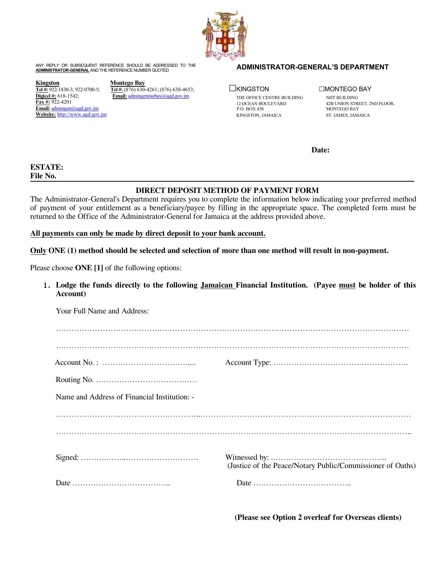

ANY REPLY OR SUBSEQUENT REFERENCE SHOULD BE ADDRESSED TO THE **ADMINISTRATOR-GENERAL'S DEPARTMENT ADMINISTRATOR-GENERAL** AND THE REFERENCE NUMBER QUOTED

**<u>Kingston</u>**<br>
<u>**Tel #:** 922-1830-3; 922-0700-5; <br> **Tel #:** (876) 630-</u> **Fax #:** 922-4201 Email: [admingen@agd.gov.jm](mailto:admingen@agd.gov.jm)<br>Website: http://www.agd.gov.jm ADMINISTRATOR-GENERAL'S DEPARTMENT<br>
MONTEGO BAY<br>
<u>Nontego Bay</u><br>
<u>Tel#:</u> 922-1830-3; 922-0700-5; Tel#: (876) 630-4261; (876) 630-4653; <br>
<u>Digicel #:</u> 618-1542; Email: admingenmobay@agd.gov.jm THE OFFICE CENTRE BUILDING<br>
<u>Ex</u>

**Tel #:** 922-1830-3; 922-0700-5; **Tel #:** (876) 630-4261; (876) 630-4653;<br>**Digicel** #: 618-1542; **Email:** admingenmobay@agd.gov.jm **Email:** [admingenmobay@agd.gov.jm](mailto:admingenmobay@agd.gov.jm)

☐KINGSTON ☐MONTEGO BAY THE OFFICE CENTRE BUILDING NHT BUILDING<br>12 OCEAN BOULEVARD 42B UNION STRI KINGSTON, JAMAICA ST. JAMES, JAMAICA

12 OCEAN BOULEVARD 42B UNION STREET, 2ND FLOOR, P.O. BOX 458 MONTEGO BAY MONTEGO BAY

**Date:**

## **ESTATE: File No.**

## **DIRECT DEPOSIT METHOD OF PAYMENT FORM**

The Administrator-General's Department requires you to complete the information below indicating your preferred method of payment of your entitlement as a beneficiary/payee by filling in the appropriate space. The completed form must be returned to the Office of the Administrator-General for Jamaica at the address provided above.

**All payments can only be made by directdeposit to your bank account.**

Only ONE (1) method should be selected and selection of more than one method will result in non-payment.

Please choose **ONE [1]** of the following options:

1. **Lodge the funds directly to the following Jamaican Financial Institution. (Payee must be holder of this Account)**

| Your Full Name and Address:                  |                                                            |
|----------------------------------------------|------------------------------------------------------------|
|                                              |                                                            |
|                                              |                                                            |
|                                              |                                                            |
| Name and Address of Financial Institution: - |                                                            |
|                                              |                                                            |
|                                              |                                                            |
|                                              | (Justice of the Peace/Notary Public/Commissioner of Oaths) |
|                                              |                                                            |
|                                              |                                                            |

**(Please see Option 2 overleaf for Overseas clients)**